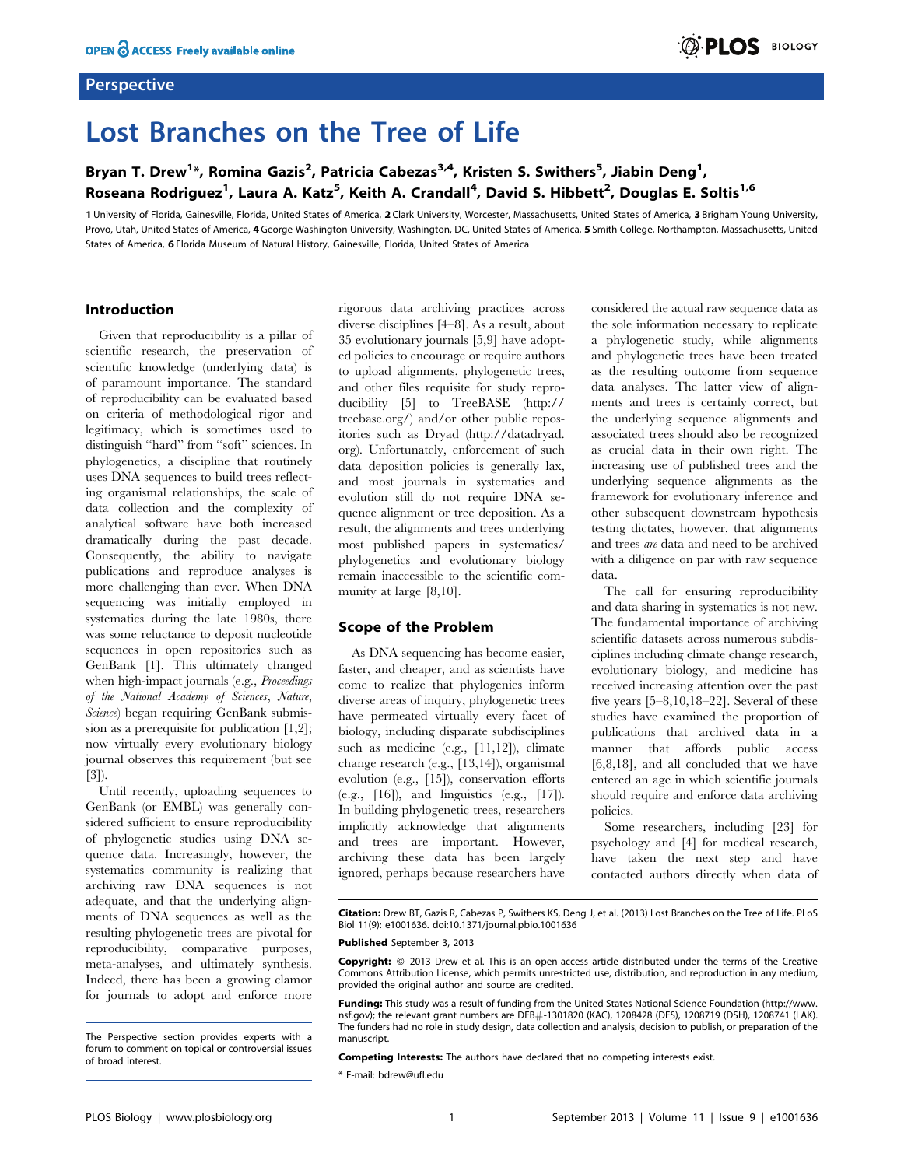### **Perspective**

# Lost Branches on the Tree of Life

## Bryan T. Drew<sup>1</sup>\*, Romina Gazis<sup>2</sup>, Patricia Cabezas<sup>3,4</sup>, Kristen S. Swithers<sup>5</sup>, Jiabin Deng<sup>1</sup>, Roseana Rodriguez<sup>1</sup>, Laura A. Katz<sup>5</sup>, Keith A. Crandall<sup>4</sup>, David S. Hibbett<sup>2</sup>, Douglas E. Soltis<sup>1,6</sup>

1 University of Florida, Gainesville, Florida, United States of America, 2 Clark University, Worcester, Massachusetts, United States of America, 3 Brigham Young University, Provo, Utah, United States of America, 4 George Washington University, Washington, DC, United States of America, 5 Smith College, Northampton, Massachusetts, United States of America, 6 Florida Museum of Natural History, Gainesville, Florida, United States of America

#### Introduction

Given that reproducibility is a pillar of scientific research, the preservation of scientific knowledge (underlying data) is of paramount importance. The standard of reproducibility can be evaluated based on criteria of methodological rigor and legitimacy, which is sometimes used to distinguish ''hard'' from ''soft'' sciences. In phylogenetics, a discipline that routinely uses DNA sequences to build trees reflecting organismal relationships, the scale of data collection and the complexity of analytical software have both increased dramatically during the past decade. Consequently, the ability to navigate publications and reproduce analyses is more challenging than ever. When DNA sequencing was initially employed in systematics during the late 1980s, there was some reluctance to deposit nucleotide sequences in open repositories such as GenBank [1]. This ultimately changed when high-impact journals (e.g., Proceedings of the National Academy of Sciences, Nature, Science) began requiring GenBank submission as a prerequisite for publication [1,2]; now virtually every evolutionary biology journal observes this requirement (but see [3]).

Until recently, uploading sequences to GenBank (or EMBL) was generally considered sufficient to ensure reproducibility of phylogenetic studies using DNA sequence data. Increasingly, however, the systematics community is realizing that archiving raw DNA sequences is not adequate, and that the underlying alignments of DNA sequences as well as the resulting phylogenetic trees are pivotal for reproducibility, comparative purposes, meta-analyses, and ultimately synthesis. Indeed, there has been a growing clamor for journals to adopt and enforce more rigorous data archiving practices across diverse disciplines [4–8]. As a result, about 35 evolutionary journals [5,9] have adopted policies to encourage or require authors to upload alignments, phylogenetic trees, and other files requisite for study reproducibility [5] to TreeBASE (http:// treebase.org/) and/or other public repositories such as Dryad (http://datadryad. org). Unfortunately, enforcement of such data deposition policies is generally lax, and most journals in systematics and evolution still do not require DNA sequence alignment or tree deposition. As a result, the alignments and trees underlying most published papers in systematics/ phylogenetics and evolutionary biology remain inaccessible to the scientific community at large [8,10].

#### Scope of the Problem

As DNA sequencing has become easier, faster, and cheaper, and as scientists have come to realize that phylogenies inform diverse areas of inquiry, phylogenetic trees have permeated virtually every facet of biology, including disparate subdisciplines such as medicine (e.g., [11,12]), climate change research (e.g., [13,14]), organismal evolution (e.g., [15]), conservation efforts (e.g., [16]), and linguistics (e.g., [17]). In building phylogenetic trees, researchers implicitly acknowledge that alignments and trees are important. However, archiving these data has been largely ignored, perhaps because researchers have considered the actual raw sequence data as the sole information necessary to replicate a phylogenetic study, while alignments and phylogenetic trees have been treated as the resulting outcome from sequence data analyses. The latter view of alignments and trees is certainly correct, but the underlying sequence alignments and associated trees should also be recognized as crucial data in their own right. The increasing use of published trees and the underlying sequence alignments as the framework for evolutionary inference and other subsequent downstream hypothesis testing dictates, however, that alignments and trees are data and need to be archived with a diligence on par with raw sequence data.

**DIPLOS** BIOLOGY

The call for ensuring reproducibility and data sharing in systematics is not new. The fundamental importance of archiving scientific datasets across numerous subdisciplines including climate change research, evolutionary biology, and medicine has received increasing attention over the past five years [5–8,10,18–22]. Several of these studies have examined the proportion of publications that archived data in a manner that affords public access [6,8,18], and all concluded that we have entered an age in which scientific journals should require and enforce data archiving policies.

Some researchers, including [23] for psychology and [4] for medical research, have taken the next step and have contacted authors directly when data of

Citation: Drew BT, Gazis R, Cabezas P, Swithers KS, Deng J, et al. (2013) Lost Branches on the Tree of Life. PLoS Biol 11(9): e1001636. doi:10.1371/journal.pbio.1001636

#### Published September 3, 2013

Copyright: © 2013 Drew et al. This is an open-access article distributed under the terms of the Creative Commons Attribution License, which permits unrestricted use, distribution, and reproduction in any medium, provided the original author and source are credited.

Funding: This study was a result of funding from the United States National Science Foundation (http://www. nsf.gov); the relevant grant numbers are DEB#-1301820 (KAC), 1208428 (DES), 1208719 (DSH), 1208741 (LAK). The funders had no role in study design, data collection and analysis, decision to publish, or preparation of the manuscript.

Competing Interests: The authors have declared that no competing interests exist.

\* E-mail: bdrew@ufl.edu

The Perspective section provides experts with a forum to comment on topical or controversial issues of broad interest.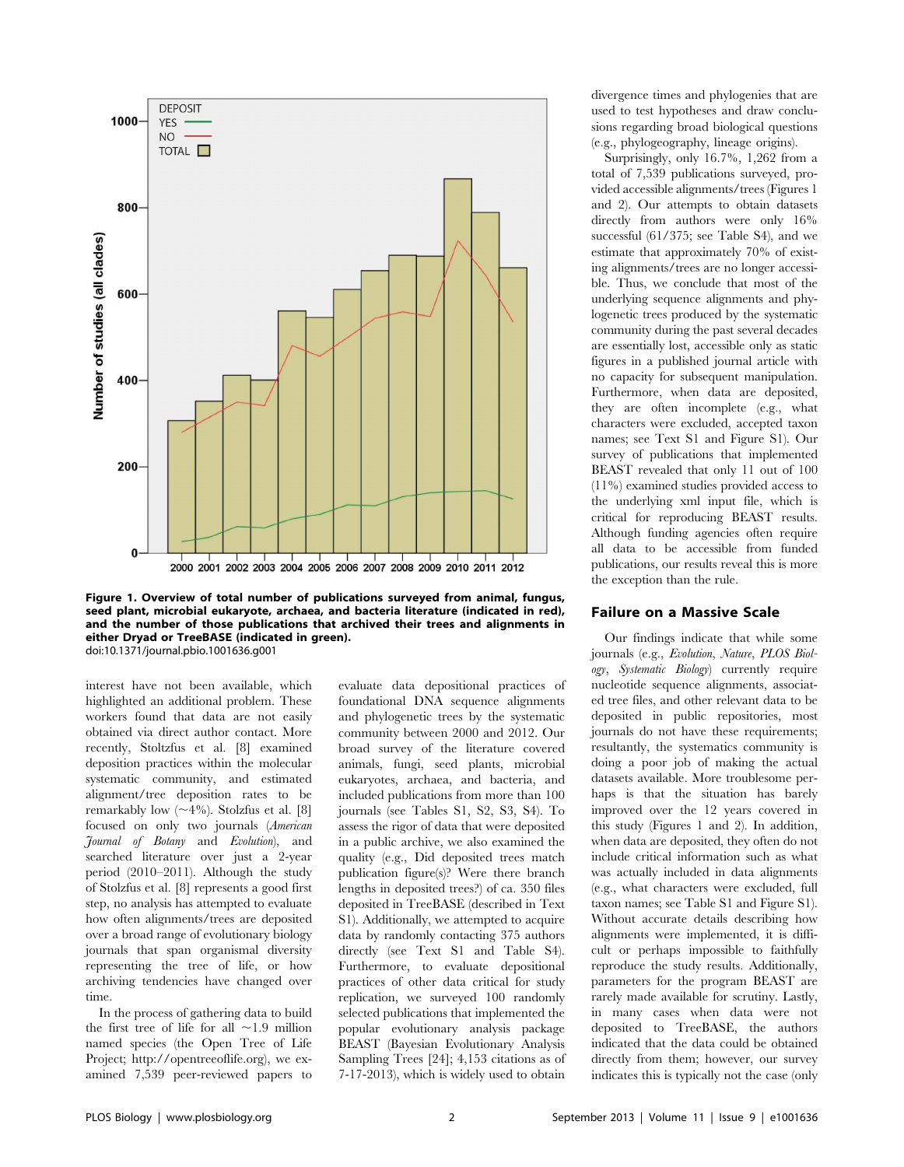

Figure 1. Overview of total number of publications surveyed from animal, fungus, seed plant, microbial eukaryote, archaea, and bacteria literature (indicated in red), and the number of those publications that archived their trees and alignments in either Dryad or TreeBASE (indicated in green). doi:10.1371/journal.pbio.1001636.g001

interest have not been available, which highlighted an additional problem. These workers found that data are not easily obtained via direct author contact. More recently, Stoltzfus et al. [8] examined deposition practices within the molecular systematic community, and estimated alignment/tree deposition rates to be remarkably low  $(\sim 4\%)$ . Stolzfus et al. [8] focused on only two journals (American Journal of Botany and Evolution), and searched literature over just a 2-year period (2010–2011). Although the study of Stolzfus et al. [8] represents a good first step, no analysis has attempted to evaluate how often alignments/trees are deposited over a broad range of evolutionary biology journals that span organismal diversity representing the tree of life, or how archiving tendencies have changed over time.

In the process of gathering data to build the first tree of life for all  $\sim$ 1.9 million named species (the Open Tree of Life Project; http://opentreeoflife.org), we examined 7,539 peer-reviewed papers to evaluate data depositional practices of foundational DNA sequence alignments and phylogenetic trees by the systematic community between 2000 and 2012. Our broad survey of the literature covered animals, fungi, seed plants, microbial eukaryotes, archaea, and bacteria, and included publications from more than 100 journals (see Tables S1, S2, S3, S4). To assess the rigor of data that were deposited in a public archive, we also examined the quality (e.g., Did deposited trees match publication figure(s)? Were there branch lengths in deposited trees?) of ca. 350 files deposited in TreeBASE (described in Text S1). Additionally, we attempted to acquire data by randomly contacting 375 authors directly (see Text S1 and Table S4). Furthermore, to evaluate depositional practices of other data critical for study replication, we surveyed 100 randomly selected publications that implemented the popular evolutionary analysis package BEAST (Bayesian Evolutionary Analysis Sampling Trees [24]; 4,153 citations as of 7-17-2013), which is widely used to obtain divergence times and phylogenies that are used to test hypotheses and draw conclusions regarding broad biological questions (e.g., phylogeography, lineage origins).

Surprisingly, only 16.7%, 1,262 from a total of 7,539 publications surveyed, provided accessible alignments/trees (Figures 1 and 2). Our attempts to obtain datasets directly from authors were only 16% successful (61/375; see Table S4), and we estimate that approximately 70% of existing alignments/trees are no longer accessible. Thus, we conclude that most of the underlying sequence alignments and phylogenetic trees produced by the systematic community during the past several decades are essentially lost, accessible only as static figures in a published journal article with no capacity for subsequent manipulation. Furthermore, when data are deposited, they are often incomplete (e.g., what characters were excluded, accepted taxon names; see Text S1 and Figure S1). Our survey of publications that implemented BEAST revealed that only 11 out of 100 (11%) examined studies provided access to the underlying xml input file, which is critical for reproducing BEAST results. Although funding agencies often require all data to be accessible from funded publications, our results reveal this is more the exception than the rule.

#### Failure on a Massive Scale

Our findings indicate that while some journals (e.g., Evolution, Nature, PLOS Biology, Systematic Biology) currently require nucleotide sequence alignments, associated tree files, and other relevant data to be deposited in public repositories, most journals do not have these requirements; resultantly, the systematics community is doing a poor job of making the actual datasets available. More troublesome perhaps is that the situation has barely improved over the 12 years covered in this study (Figures 1 and 2). In addition, when data are deposited, they often do not include critical information such as what was actually included in data alignments (e.g., what characters were excluded, full taxon names; see Table S1 and Figure S1). Without accurate details describing how alignments were implemented, it is difficult or perhaps impossible to faithfully reproduce the study results. Additionally, parameters for the program BEAST are rarely made available for scrutiny. Lastly, in many cases when data were not deposited to TreeBASE, the authors indicated that the data could be obtained directly from them; however, our survey indicates this is typically not the case (only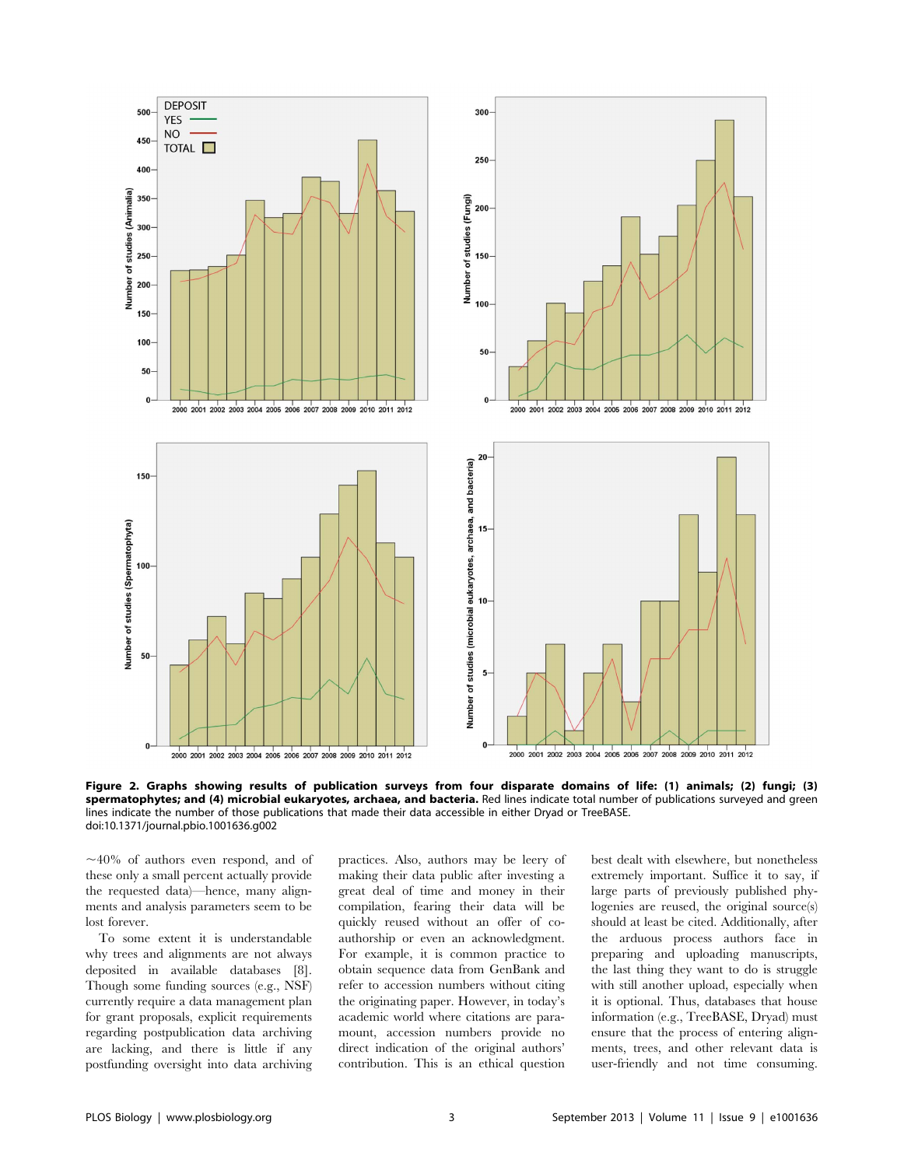

Figure 2. Graphs showing results of publication surveys from four disparate domains of life: (1) animals; (2) fungi; (3) spermatophytes; and (4) microbial eukaryotes, archaea, and bacteria. Red lines indicate total number of publications surveyed and green lines indicate the number of those publications that made their data accessible in either Dryad or TreeBASE. doi:10.1371/journal.pbio.1001636.g002

 $\sim$ 40% of authors even respond, and of these only a small percent actually provide the requested data)—hence, many alignments and analysis parameters seem to be lost forever.

To some extent it is understandable why trees and alignments are not always deposited in available databases [8]. Though some funding sources (e.g., NSF) currently require a data management plan for grant proposals, explicit requirements regarding postpublication data archiving are lacking, and there is little if any postfunding oversight into data archiving

practices. Also, authors may be leery of making their data public after investing a great deal of time and money in their compilation, fearing their data will be quickly reused without an offer of coauthorship or even an acknowledgment. For example, it is common practice to obtain sequence data from GenBank and refer to accession numbers without citing the originating paper. However, in today's academic world where citations are paramount, accession numbers provide no direct indication of the original authors' contribution. This is an ethical question best dealt with elsewhere, but nonetheless extremely important. Suffice it to say, if large parts of previously published phylogenies are reused, the original source(s) should at least be cited. Additionally, after the arduous process authors face in preparing and uploading manuscripts, the last thing they want to do is struggle with still another upload, especially when it is optional. Thus, databases that house information (e.g., TreeBASE, Dryad) must ensure that the process of entering alignments, trees, and other relevant data is user-friendly and not time consuming.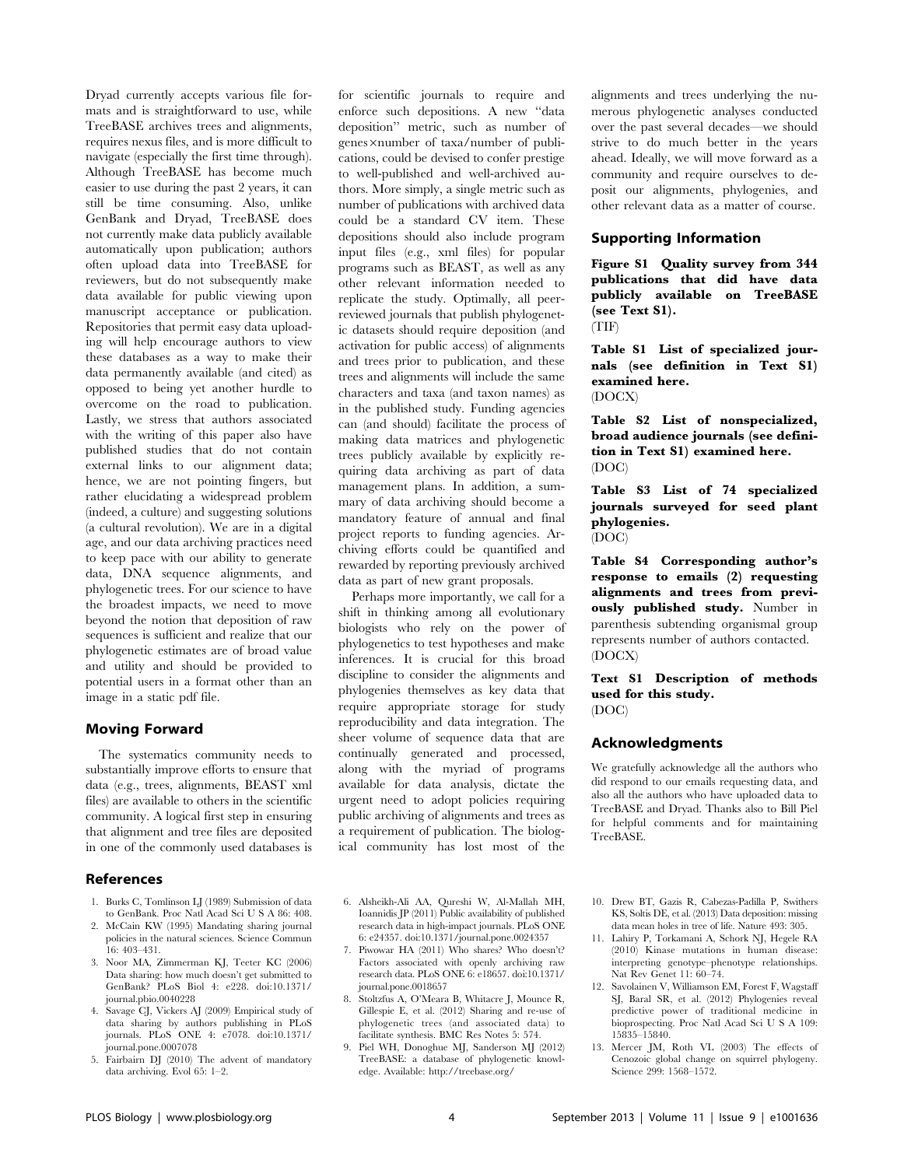Dryad currently accepts various file formats and is straightforward to use, while TreeBASE archives trees and alignments, requires nexus files, and is more difficult to navigate (especially the first time through). Although TreeBASE has become much easier to use during the past 2 years, it can still be time consuming. Also, unlike GenBank and Dryad, TreeBASE does not currently make data publicly available automatically upon publication; authors often upload data into TreeBASE for reviewers, but do not subsequently make data available for public viewing upon manuscript acceptance or publication. Repositories that permit easy data uploading will help encourage authors to view these databases as a way to make their data permanently available (and cited) as opposed to being yet another hurdle to overcome on the road to publication. Lastly, we stress that authors associated with the writing of this paper also have published studies that do not contain external links to our alignment data; hence, we are not pointing fingers, but rather elucidating a widespread problem (indeed, a culture) and suggesting solutions (a cultural revolution). We are in a digital age, and our data archiving practices need to keep pace with our ability to generate data, DNA sequence alignments, and phylogenetic trees. For our science to have the broadest impacts, we need to move beyond the notion that deposition of raw sequences is sufficient and realize that our phylogenetic estimates are of broad value and utility and should be provided to potential users in a format other than an image in a static pdf file.

#### Moving Forward

The systematics community needs to substantially improve efforts to ensure that data (e.g., trees, alignments, BEAST xml files) are available to others in the scientific community. A logical first step in ensuring that alignment and tree files are deposited in one of the commonly used databases is

#### References

- 1. Burks C, Tomlinson LJ (1989) Submission of data to GenBank. Proc Natl Acad Sci U S A 86: 408.
- 2. McCain KW (1995) Mandating sharing journal policies in the natural sciences. Science Commun 16: 403–431.
- 3. Noor MA, Zimmerman KJ, Teeter KC (2006) Data sharing: how much doesn't get submitted to GenBank? PLoS Biol 4: e228. doi:10.1371/ journal.pbio.0040228
- 4. Savage CJ, Vickers AJ (2009) Empirical study of data sharing by authors publishing in PLoS journals. PLoS ONE 4: e7078. doi:10.1371/ journal.pone.0007078
- 5. Fairbairn DJ (2010) The advent of mandatory data archiving. Evol 65: 1–2.

for scientific journals to require and enforce such depositions. A new ''data deposition'' metric, such as number of genes×number of taxa/number of publications, could be devised to confer prestige to well-published and well-archived authors. More simply, a single metric such as number of publications with archived data could be a standard CV item. These depositions should also include program input files (e.g., xml files) for popular programs such as BEAST, as well as any other relevant information needed to replicate the study. Optimally, all peerreviewed journals that publish phylogenetic datasets should require deposition (and activation for public access) of alignments and trees prior to publication, and these trees and alignments will include the same characters and taxa (and taxon names) as in the published study. Funding agencies can (and should) facilitate the process of making data matrices and phylogenetic trees publicly available by explicitly requiring data archiving as part of data management plans. In addition, a summary of data archiving should become a mandatory feature of annual and final project reports to funding agencies. Archiving efforts could be quantified and rewarded by reporting previously archived data as part of new grant proposals.

Perhaps more importantly, we call for a shift in thinking among all evolutionary biologists who rely on the power of phylogenetics to test hypotheses and make inferences. It is crucial for this broad discipline to consider the alignments and phylogenies themselves as key data that require appropriate storage for study reproducibility and data integration. The sheer volume of sequence data that are continually generated and processed, along with the myriad of programs available for data analysis, dictate the urgent need to adopt policies requiring public archiving of alignments and trees as a requirement of publication. The biological community has lost most of the

- 6. Alsheikh-Ali AA, Qureshi W, Al-Mallah MH, Ioannidis JP (2011) Public availability of published research data in high-impact journals. PLoS ONE 6: e24357. doi:10.1371/journal.pone.0024357
- 7. Piwowar HA (2011) Who shares? Who doesn't? Factors associated with openly archiving raw research data. PLoS ONE 6: e18657. doi:10.1371/ journal.pone.0018657
- 8. Stoltzfus A, O'Meara B, Whitacre J, Mounce R, Gillespie E, et al. (2012) Sharing and re-use of phylogenetic trees (and associated data) to facilitate synthesis. BMC Res Notes 5: 574.
- 9. Piel WH, Donoghue MJ, Sanderson MJ (2012) TreeBASE: a database of phylogenetic knowledge. Available: http://treebase.org/

alignments and trees underlying the numerous phylogenetic analyses conducted over the past several decades—we should strive to do much better in the years ahead. Ideally, we will move forward as a community and require ourselves to deposit our alignments, phylogenies, and other relevant data as a matter of course.

#### Supporting Information

Figure S1 Quality survey from 344 publications that did have data publicly available on TreeBASE (see Text S1).

(TIF)

Table S1 List of specialized journals (see definition in Text S1) examined here. (DOCX)

Table S2 List of nonspecialized, broad audience journals (see definition in Text S1) examined here. (DOC)

Table S3 List of 74 specialized journals surveyed for seed plant phylogenies. (DOC)

Table S4 Corresponding author's response to emails (2) requesting alignments and trees from previously published study. Number in parenthesis subtending organismal group represents number of authors contacted. (DOCX)

Text S1 Description of methods used for this study. (DOC)

#### Acknowledgments

We gratefully acknowledge all the authors who did respond to our emails requesting data, and also all the authors who have uploaded data to TreeBASE and Dryad. Thanks also to Bill Piel for helpful comments and for maintaining TreeBASE.

- 10. Drew BT, Gazis R, Cabezas-Padilla P, Swithers KS, Soltis DE, et al. (2013) Data deposition: missing data mean holes in tree of life. Nature 493: 305.
- 11. Lahiry P, Torkamani A, Schork NJ, Hegele RA (2010) Kinase mutations in human disease: interpreting genotype–phenotype relationships. Nat Rev Genet 11: 60–74.
- 12. Savolainen V, Williamson EM, Forest F, Wagstaff SJ, Baral SR, et al. (2012) Phylogenies reveal predictive power of traditional medicine in bioprospecting. Proc Natl Acad Sci U S A 109: 15835–15840.
- 13. Mercer JM, Roth VL (2003) The effects of Cenozoic global change on squirrel phylogeny. Science 299: 1568–1572.